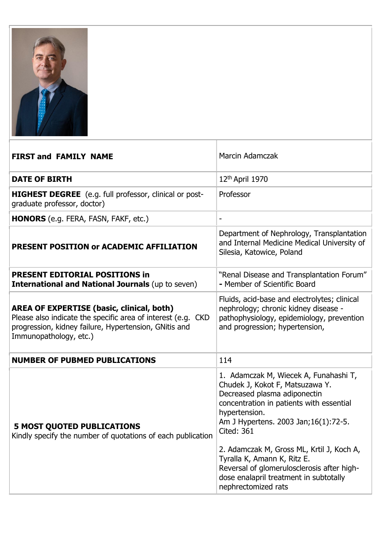

| <b>FIRST and FAMILY NAME</b>                                                                                                                                                                        | <b>Marcin Adamczak</b>                                                                                                                                                                                                                                                                                                                                                                                                          |
|-----------------------------------------------------------------------------------------------------------------------------------------------------------------------------------------------------|---------------------------------------------------------------------------------------------------------------------------------------------------------------------------------------------------------------------------------------------------------------------------------------------------------------------------------------------------------------------------------------------------------------------------------|
| <b>DATE OF BIRTH</b>                                                                                                                                                                                | 12th April 1970                                                                                                                                                                                                                                                                                                                                                                                                                 |
| <b>HIGHEST DEGREE</b> (e.g. full professor, clinical or post-<br>graduate professor, doctor)                                                                                                        | Professor                                                                                                                                                                                                                                                                                                                                                                                                                       |
| <b>HONORS</b> (e.g. FERA, FASN, FAKF, etc.)                                                                                                                                                         |                                                                                                                                                                                                                                                                                                                                                                                                                                 |
| PRESENT POSITION or ACADEMIC AFFILIATION                                                                                                                                                            | Department of Nephrology, Transplantation<br>and Internal Medicine Medical University of<br>Silesia, Katowice, Poland                                                                                                                                                                                                                                                                                                           |
| <b>PRESENT EDITORIAL POSITIONS in</b><br><b>International and National Journals (up to seven)</b>                                                                                                   | "Renal Disease and Transplantation Forum"<br>- Member of Scientific Board                                                                                                                                                                                                                                                                                                                                                       |
| <b>AREA OF EXPERTISE (basic, clinical, both)</b><br>Please also indicate the specific area of interest (e.g. CKD<br>progression, kidney failure, Hypertension, GNitis and<br>Immunopathology, etc.) | Fluids, acid-base and electrolytes; clinical<br>nephrology; chronic kidney disease -<br>pathophysiology, epidemiology, prevention<br>and progression; hypertension,                                                                                                                                                                                                                                                             |
| <b>NUMBER OF PUBMED PUBLICATIONS</b>                                                                                                                                                                | 114                                                                                                                                                                                                                                                                                                                                                                                                                             |
| <b>5 MOST QUOTED PUBLICATIONS</b><br>Kindly specify the number of quotations of each publication                                                                                                    | 1. Adamczak M, Wiecek A, Funahashi T,<br>Chudek J, Kokot F, Matsuzawa Y.<br>Decreased plasma adiponectin<br>concentration in patients with essential<br>hypertension.<br>Am J Hypertens. 2003 Jan; 16(1): 72-5.<br><b>Cited: 361</b><br>2. Adamczak M, Gross ML, Krtil J, Koch A,<br>Tyralla K, Amann K, Ritz E.<br>Reversal of glomerulosclerosis after high-<br>dose enalapril treatment in subtotally<br>nephrectomized rats |